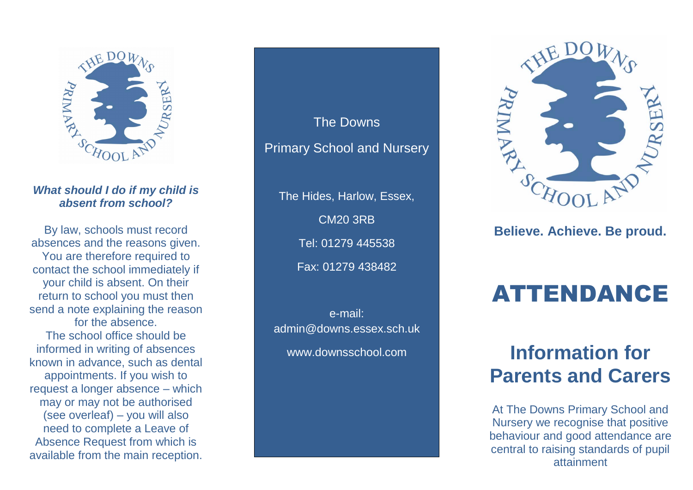

### *What should I do if my child is absent from school?*

By law, schools must record absences and the reasons given. You are therefore required to contact the school immediately if your child is absent. On their return to school you must then send a note explaining the reason for the absence. The school office should be informed in writing of absences known in advance, such as dental appointments. If you wish to request a longer absence – which may or may not be authorised (see overleaf) – you will also need to complete a Leave of Absence Request from which is available from the main reception.

The Downs Primary School and Nursery The Hides, Harlow, Essex, CM20 3RB

Tel: 01279 445538 Fax: 01279 438482

e-mail: admin@downs.essex.sch.uk www.downsschool.com



### **Believe. Achieve. Be proud.**

# ATTENDANCE

## **Information for Parents and Carers**

At The Downs Primary School and Nursery we recognise that positive behaviour and good attendance are central to raising standards of pupil attainment